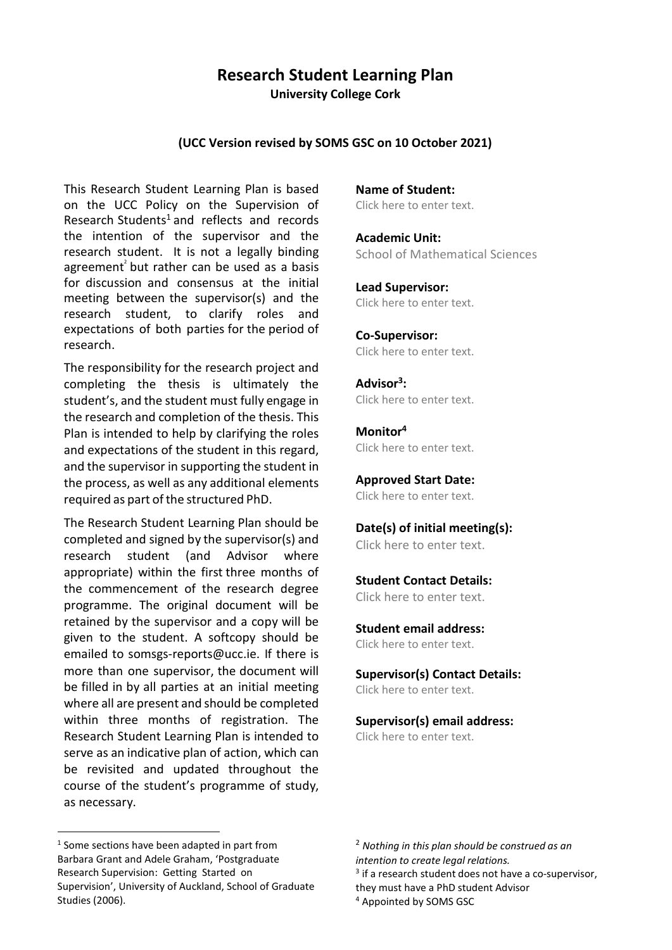# **Research Student Learning Plan**

**University College Cork**

#### **(UCC Version revised by SOMS GSC on 10 October 2021)**

This Research Student Learning Plan is based on the UCC Policy on the Supervision of Research Students<sup>1</sup> and reflects and records the intention of the supervisor and the research student. It is not a legally binding agreement<sup>2</sup> but rather can be used as a basis for discussion and consensus at the initial meeting between the supervisor(s) and the research student, to clarify roles and expectations of both parties for the period of research.

The responsibility for the research project and completing the thesis is ultimately the student's, and the student must fully engage in the research and completion of the thesis. This Plan is intended to help by clarifying the roles and expectations of the student in this regard, and the supervisor in supporting the student in the process, as well as any additional elements required as part of the structured PhD.

The Research Student Learning Plan should be completed and signed by the supervisor(s) and research student (and Advisor where appropriate) within the first three months of the commencement of the research degree programme. The original document will be retained by the supervisor and a copy will be given to the student. A softcopy should be emailed to somsgs-reports@ucc.ie. If there is more than one supervisor, the document will be filled in by all parties at an initial meeting where all are present and should be completed within three months of registration. The Research Student Learning Plan is intended to serve as an indicative plan of action, which can be revisited and updated throughout the course of the student's programme of study, as necessary.

**Name of Student:** Click here to enter text.

**Academic Unit:** School of Mathematical Sciences

**Lead Supervisor:** Click here to enter text.

**Co-Supervisor:** Click here to enter text.

**Advisor 3 :** Click here to enter text.

**Monitor<sup>4</sup>** Click here to enter text.

**Approved Start Date:** Click here to enter text.

**Date(s) of initial meeting(s):** Click here to enter text.

**Student Contact Details:** Click here to enter text.

**Student email address:**

Click here to enter text.

**Supervisor(s) Contact Details:** Click here to enter text.

**Supervisor(s) email address:** Click here to enter text.

**.** <sup>1</sup> Some sections have been adapted in part from Barbara Grant and Adele Graham, 'Postgraduate Research Supervision: Getting Started on Supervision', University of Auckland, School of Graduate Studies (2006).

<sup>2</sup> *Nothing in this plan should be construed as an intention to create legal relations.*

<sup>&</sup>lt;sup>3</sup> if a research student does not have a co-supervisor,

they must have a PhD student Advisor

<sup>4</sup> Appointed by SOMS GSC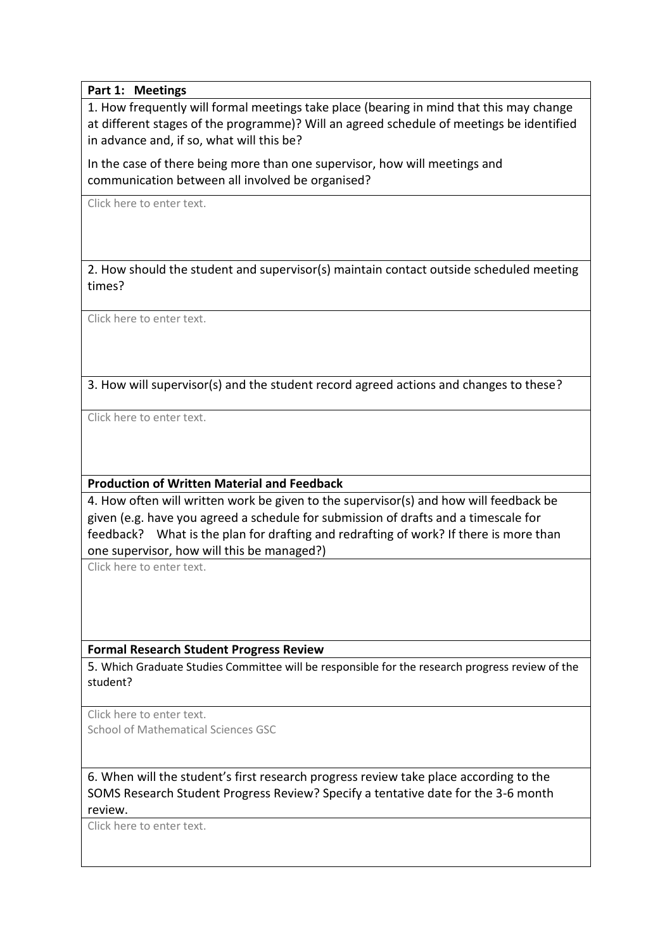### **Part 1: Meetings**

1. How frequently will formal meetings take place (bearing in mind that this may change at different stages of the programme)? Will an agreed schedule of meetings be identified in advance and, if so, what will this be?

In the case of there being more than one supervisor, how will meetings and communication between all involved be organised?

Click here to enter text.

2. How should the student and supervisor(s) maintain contact outside scheduled meeting times?

Click here to enter text.

3. How will supervisor(s) and the student record agreed actions and changes to these?

Click here to enter text.

### **Production of Written Material and Feedback**

4. How often will written work be given to the supervisor(s) and how will feedback be given (e.g. have you agreed a schedule for submission of drafts and a timescale for feedback? What is the plan for drafting and redrafting of work? If there is more than one supervisor, how will this be managed?)

Click here to enter text.

### **Formal Research Student Progress Review**

5. Which Graduate Studies Committee will be responsible for the research progress review of the student?

Click here to enter text. School of Mathematical Sciences GSC

6. When will the student's first research progress review take place according to the SOMS Research Student Progress Review? Specify a tentative date for the 3-6 month review.

Click here to enter text.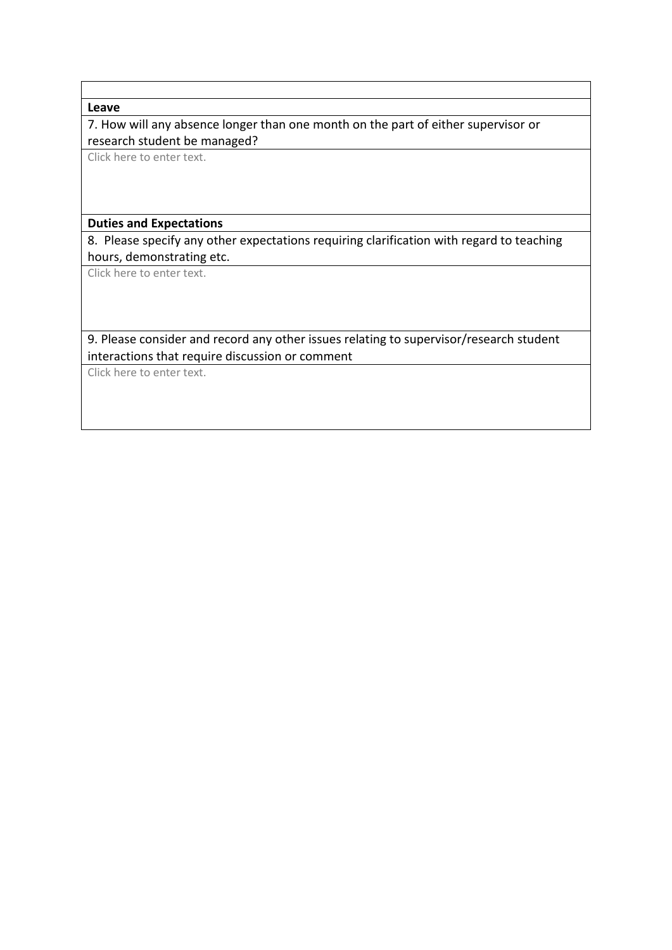#### **Leave**

7. How will any absence longer than one month on the part of either supervisor or research student be managed?

Click here to enter text.

#### **Duties and Expectations**

8. Please specify any other expectations requiring clarification with regard to teaching hours, demonstrating etc.

Click here to enter text.

### 9. Please consider and record any other issues relating to supervisor/research student interactions that require discussion or comment

Click here to enter text.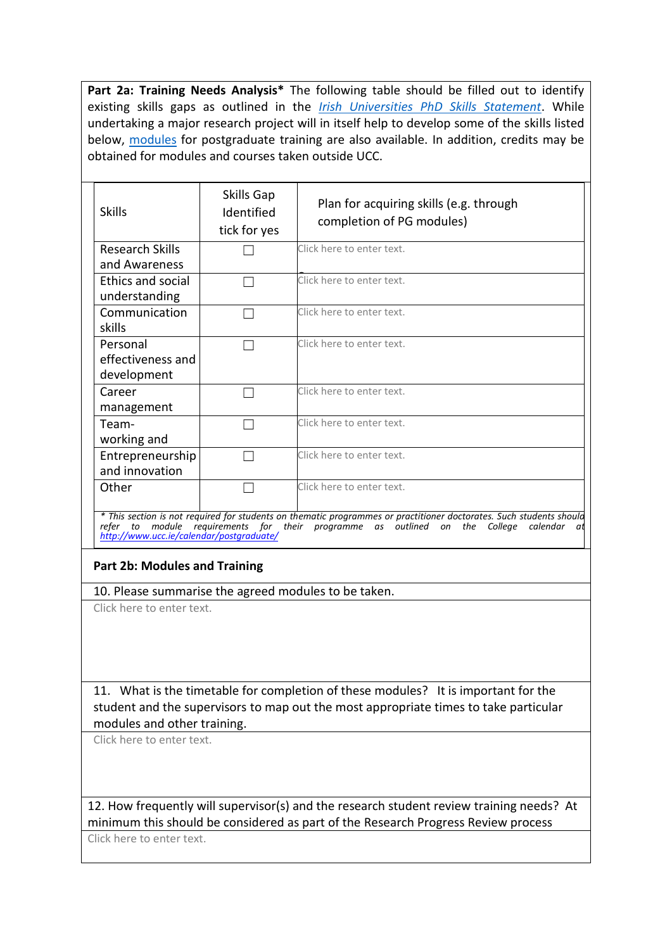**Part 2a: Training Needs Analysis\*** The following table should be filled out to identify existing skills gaps as outlined in the *[Irish Universities PhD Skills Statement](https://www.iua.ie/news/?c=publications/view/iua-graduate-skills-statement-brochure-2015/)*. While undertaking a major research project will in itself help to develop some of the skills listed below, [modules](https://www.ucc.ie/admin/registrar/calendar/postgraduate/Doctor/page008.html) for postgraduate training are also available. In addition, credits may be obtained for modules and courses taken outside UCC.

| <b>Skills</b>                                                                                                                                                                                                                                                                      | Skills Gap<br>Identified<br>tick for yes | Plan for acquiring skills (e.g. through<br>completion of PG modules) |  |
|------------------------------------------------------------------------------------------------------------------------------------------------------------------------------------------------------------------------------------------------------------------------------------|------------------------------------------|----------------------------------------------------------------------|--|
| Research Skills<br>and Awareness                                                                                                                                                                                                                                                   |                                          | Click here to enter text.                                            |  |
| <b>Ethics and social</b><br>understanding                                                                                                                                                                                                                                          |                                          | Click here to enter text.                                            |  |
| Communication<br>skills                                                                                                                                                                                                                                                            |                                          | Click here to enter text.                                            |  |
| Personal<br>effectiveness and<br>development                                                                                                                                                                                                                                       |                                          | Click here to enter text.                                            |  |
| Career<br>management                                                                                                                                                                                                                                                               |                                          | Click here to enter text.                                            |  |
| Team-<br>working and                                                                                                                                                                                                                                                               |                                          | Click here to enter text.                                            |  |
| Entrepreneurship<br>and innovation                                                                                                                                                                                                                                                 |                                          | Click here to enter text.                                            |  |
| Other                                                                                                                                                                                                                                                                              |                                          | Click here to enter text.                                            |  |
| * This section is not required for students on thematic programmes or practitioner doctorates. Such students should<br>module requirements for<br>their programme as outlined<br>refer<br>to<br>calendar<br>on<br>the<br>College<br>αt<br>http://www.ucc.ie/calendar/postgraduate/ |                                          |                                                                      |  |

### **Part 2b: Modules and Training**

10. Please summarise the agreed modules to be taken.

Click here to enter text.

11. What is the timetable for completion of these modules? It is important for the student and the supervisors to map out the most appropriate times to take particular modules and other training.

Click here to enter text.

12. How frequently will supervisor(s) and the research student review training needs? At minimum this should be considered as part of the Research Progress Review process

Click here to enter text.